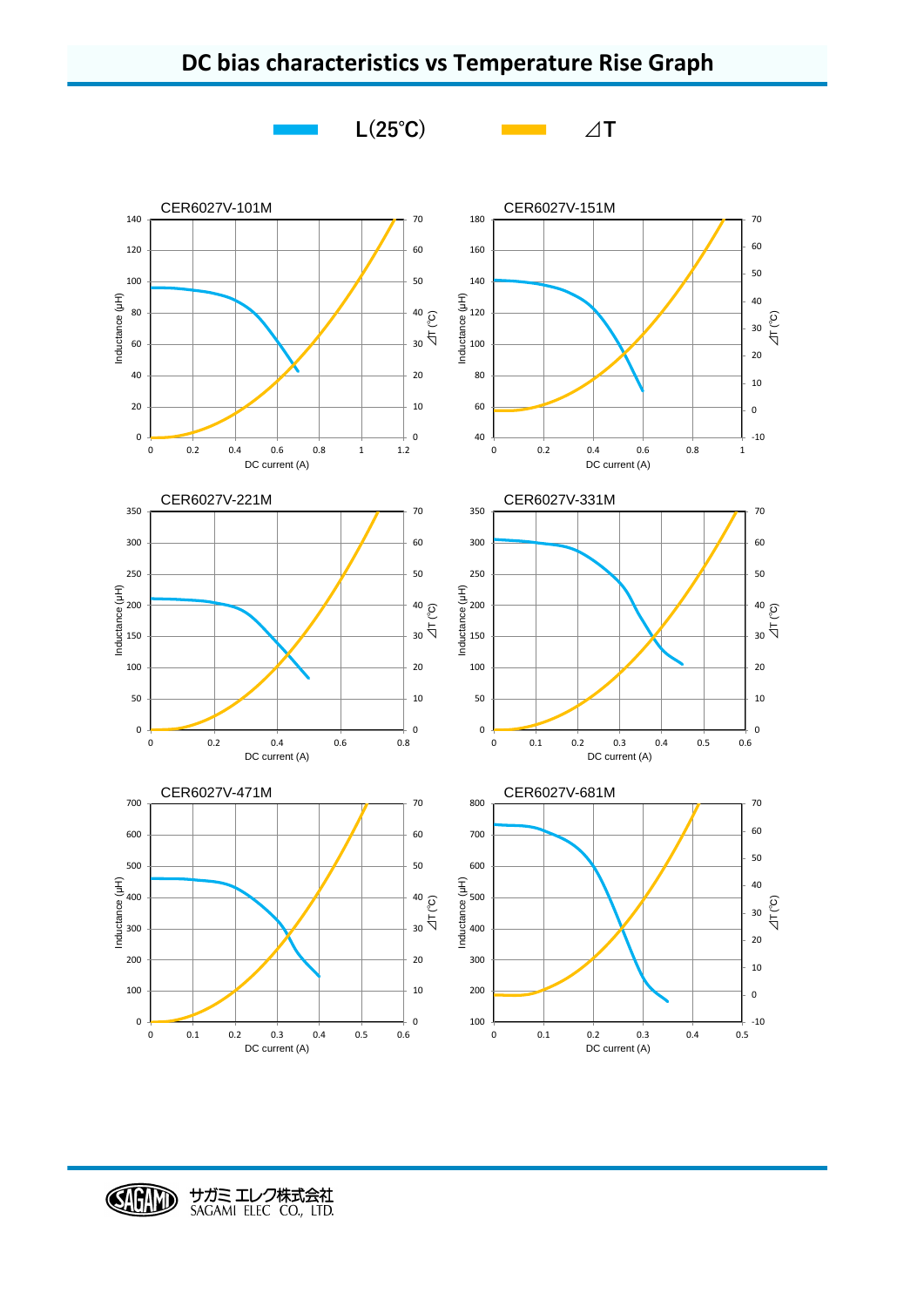